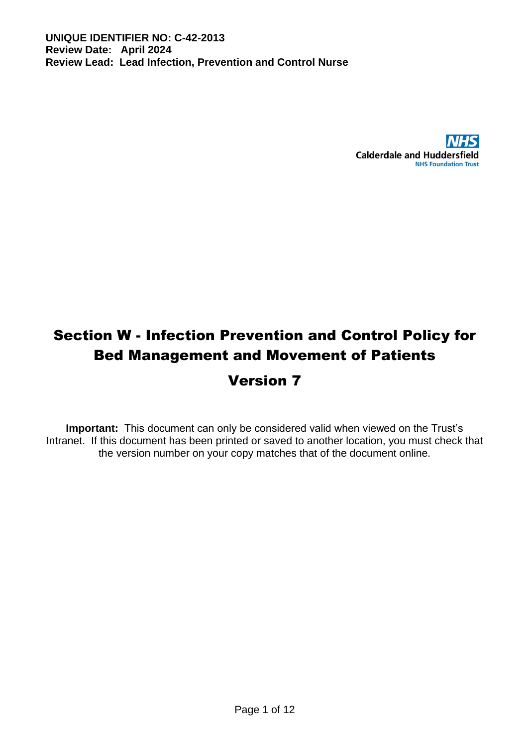

# Section W - Infection Prevention and Control Policy for Bed Management and Movement of Patients

# Version 7

**Important:** This document can only be considered valid when viewed on the Trust's Intranet. If this document has been printed or saved to another location, you must check that the version number on your copy matches that of the document online.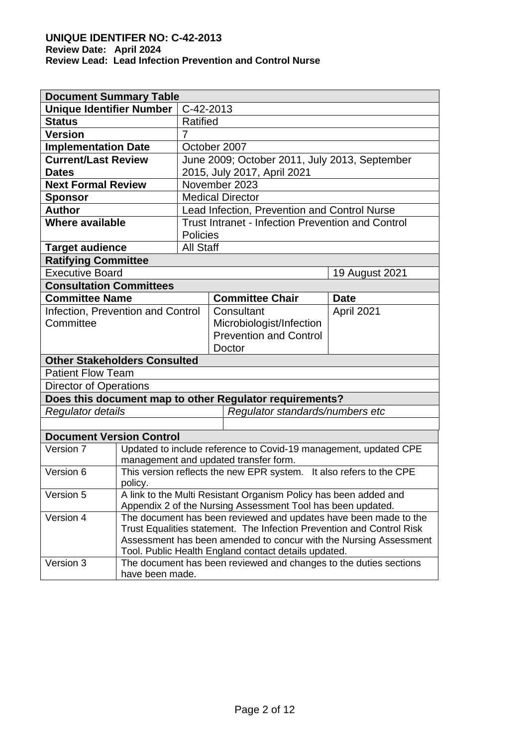| <b>Document Summary Table</b>                |                                                                                      |                                                                   |                                                                                                           |                |  |  |
|----------------------------------------------|--------------------------------------------------------------------------------------|-------------------------------------------------------------------|-----------------------------------------------------------------------------------------------------------|----------------|--|--|
| <b>Unique Identifier Number</b>              |                                                                                      | C-42-2013                                                         |                                                                                                           |                |  |  |
| <b>Status</b>                                |                                                                                      | <b>Ratified</b>                                                   |                                                                                                           |                |  |  |
| <b>Version</b>                               |                                                                                      | 7                                                                 |                                                                                                           |                |  |  |
| <b>Implementation Date</b>                   |                                                                                      |                                                                   | October 2007                                                                                              |                |  |  |
| <b>Current/Last Review</b>                   |                                                                                      |                                                                   | June 2009; October 2011, July 2013, September                                                             |                |  |  |
| <b>Dates</b>                                 |                                                                                      | 2015, July 2017, April 2021                                       |                                                                                                           |                |  |  |
| <b>Next Formal Review</b>                    |                                                                                      |                                                                   | November 2023                                                                                             |                |  |  |
| <b>Sponsor</b>                               |                                                                                      |                                                                   | <b>Medical Director</b>                                                                                   |                |  |  |
| <b>Author</b>                                |                                                                                      |                                                                   | Lead Infection, Prevention and Control Nurse                                                              |                |  |  |
| <b>Where available</b>                       |                                                                                      |                                                                   | <b>Trust Intranet - Infection Prevention and Control</b>                                                  |                |  |  |
|                                              |                                                                                      | <b>Policies</b>                                                   |                                                                                                           |                |  |  |
| <b>Target audience</b>                       |                                                                                      | <b>All Staff</b>                                                  |                                                                                                           |                |  |  |
| <b>Ratifying Committee</b>                   |                                                                                      |                                                                   |                                                                                                           |                |  |  |
| <b>Executive Board</b>                       |                                                                                      |                                                                   |                                                                                                           | 19 August 2021 |  |  |
| <b>Consultation Committees</b>               |                                                                                      |                                                                   |                                                                                                           |                |  |  |
| <b>Committee Name</b>                        |                                                                                      |                                                                   | <b>Committee Chair</b>                                                                                    | <b>Date</b>    |  |  |
| Infection, Prevention and Control            |                                                                                      |                                                                   | Consultant                                                                                                | April 2021     |  |  |
| Committee                                    |                                                                                      |                                                                   | Microbiologist/Infection                                                                                  |                |  |  |
|                                              |                                                                                      |                                                                   | <b>Prevention and Control</b>                                                                             |                |  |  |
|                                              |                                                                                      |                                                                   | Doctor                                                                                                    |                |  |  |
| <b>Other Stakeholders Consulted</b>          |                                                                                      |                                                                   |                                                                                                           |                |  |  |
| <b>Patient Flow Team</b>                     |                                                                                      |                                                                   |                                                                                                           |                |  |  |
| <b>Director of Operations</b>                |                                                                                      |                                                                   |                                                                                                           |                |  |  |
|                                              |                                                                                      |                                                                   | Does this document map to other Regulator requirements?                                                   |                |  |  |
| <b>Regulator details</b>                     |                                                                                      | Regulator standards/numbers etc                                   |                                                                                                           |                |  |  |
|                                              |                                                                                      |                                                                   |                                                                                                           |                |  |  |
| <b>Document Version Control</b><br>Version 7 |                                                                                      |                                                                   |                                                                                                           |                |  |  |
|                                              |                                                                                      |                                                                   | Updated to include reference to Covid-19 management, updated CPE<br>management and updated transfer form. |                |  |  |
| Version 6                                    |                                                                                      |                                                                   |                                                                                                           |                |  |  |
|                                              | This version reflects the new EPR system. It also refers to the CPE<br>policy.       |                                                                   |                                                                                                           |                |  |  |
| Version 5                                    |                                                                                      |                                                                   | A link to the Multi Resistant Organism Policy has been added and                                          |                |  |  |
|                                              |                                                                                      |                                                                   | Appendix 2 of the Nursing Assessment Tool has been updated.                                               |                |  |  |
| Version 4                                    |                                                                                      |                                                                   | The document has been reviewed and updates have been made to the                                          |                |  |  |
|                                              |                                                                                      |                                                                   | Trust Equalities statement. The Infection Prevention and Control Risk                                     |                |  |  |
|                                              |                                                                                      | Assessment has been amended to concur with the Nursing Assessment |                                                                                                           |                |  |  |
| Version 3                                    | Tool. Public Health England contact details updated.                                 |                                                                   |                                                                                                           |                |  |  |
|                                              | The document has been reviewed and changes to the duties sections<br>have been made. |                                                                   |                                                                                                           |                |  |  |
|                                              |                                                                                      |                                                                   |                                                                                                           |                |  |  |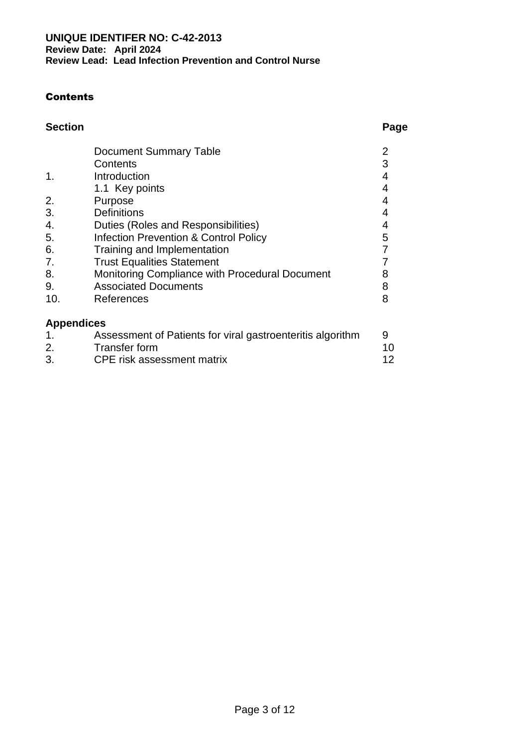#### **Contents**

| <b>Section</b> |                        | Page |
|----------------|------------------------|------|
|                | Document Summary Table |      |

|     | Contents                                                   | 3  |
|-----|------------------------------------------------------------|----|
| 1.  | Introduction                                               |    |
|     | 1.1 Key points                                             |    |
| 2.  | Purpose                                                    |    |
| 3.  | <b>Definitions</b>                                         |    |
| 4.  | Duties (Roles and Responsibilities)                        | 4  |
| 5.  | <b>Infection Prevention &amp; Control Policy</b>           | 5  |
| 6.  | Training and Implementation                                |    |
| 7.  | <b>Trust Equalities Statement</b>                          |    |
| 8.  | Monitoring Compliance with Procedural Document             | 8  |
| 9.  | <b>Associated Documents</b>                                | 8  |
| 10. | References                                                 | 8  |
|     | <b>Appendices</b>                                          |    |
| 1.  | Assessment of Patients for viral gastroenteritis algorithm | 9  |
| 2.  | <b>Transfer form</b>                                       | 10 |

2. 3. Transfer form CPE risk assessment matrix

12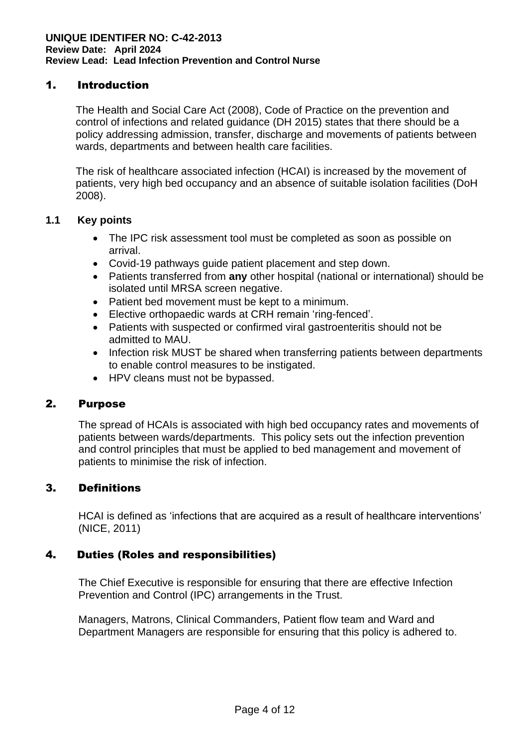#### 1. Introduction

The Health and Social Care Act (2008), Code of Practice on the prevention and control of infections and related guidance (DH 2015) states that there should be a policy addressing admission, transfer, discharge and movements of patients between wards, departments and between health care facilities.

The risk of healthcare associated infection (HCAI) is increased by the movement of patients, very high bed occupancy and an absence of suitable isolation facilities (DoH 2008).

#### **1.1 Key points**

- The IPC risk assessment tool must be completed as soon as possible on arrival.
- Covid-19 pathways guide patient placement and step down.
- Patients transferred from **any** other hospital (national or international) should be isolated until MRSA screen negative.
- Patient bed movement must be kept to a minimum.
- Elective orthopaedic wards at CRH remain 'ring-fenced'.
- Patients with suspected or confirmed viral gastroenteritis should not be admitted to MAU.
- Infection risk MUST be shared when transferring patients between departments to enable control measures to be instigated.
- HPV cleans must not be bypassed.

#### 2. Purpose

The spread of HCAIs is associated with high bed occupancy rates and movements of patients between wards/departments. This policy sets out the infection prevention and control principles that must be applied to bed management and movement of patients to minimise the risk of infection.

#### 3. Definitions

HCAI is defined as 'infections that are acquired as a result of healthcare interventions' [\(NICE, 2011](http://www.hpa.org.uk/Topics/InfectiousDiseases/InfectionsAZ/HCAI/))

#### 4. Duties (Roles and responsibilities)

The Chief Executive is responsible for ensuring that there are effective Infection Prevention and Control (IPC) arrangements in the Trust.

Managers, Matrons, Clinical Commanders, Patient flow team and Ward and Department Managers are responsible for ensuring that this policy is adhered to.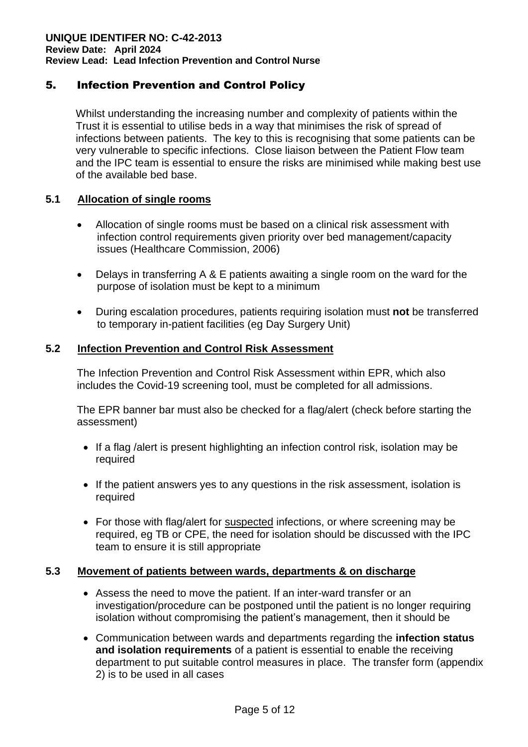#### 5. Infection Prevention and Control Policy

Whilst understanding the increasing number and complexity of patients within the Trust it is essential to utilise beds in a way that minimises the risk of spread of infections between patients. The key to this is recognising that some patients can be very vulnerable to specific infections. Close liaison between the Patient Flow team and the IPC team is essential to ensure the risks are minimised while making best use of the available bed base.

#### **5.1 Allocation of single rooms**

- Allocation of single rooms must be based on a clinical risk assessment with infection control requirements given priority over bed management/capacity issues (Healthcare Commission, 2006)
- Delays in transferring A & E patients awaiting a single room on the ward for the purpose of isolation must be kept to a minimum
- During escalation procedures, patients requiring isolation must **not** be transferred to temporary in-patient facilities (eg Day Surgery Unit)

#### **5.2 Infection Prevention and Control Risk Assessment**

The Infection Prevention and Control Risk Assessment within EPR, which also includes the Covid-19 screening tool, must be completed for all admissions.

The EPR banner bar must also be checked for a flag/alert (check before starting the assessment)

- If a flag /alert is present highlighting an infection control risk, isolation may be required
- If the patient answers yes to any questions in the risk assessment, isolation is required
- For those with flag/alert for suspected infections, or where screening may be required, eg TB or CPE, the need for isolation should be discussed with the IPC team to ensure it is still appropriate

#### **5.3 Movement of patients between wards, departments & on discharge**

- Assess the need to move the patient. If an inter-ward transfer or an investigation/procedure can be postponed until the patient is no longer requiring isolation without compromising the patient's management, then it should be
- Communication between wards and departments regarding the **infection status and isolation requirements** of a patient is essential to enable the receiving department to put suitable control measures in place. The transfer form (appendix 2) is to be used in all cases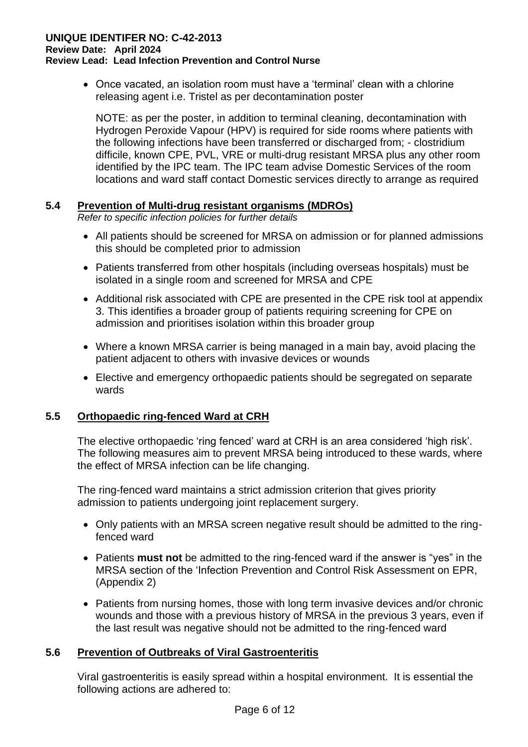• Once vacated, an isolation room must have a 'terminal' clean with a chlorine releasing agent i.e. Tristel as per decontamination poster

NOTE: as per the poster, in addition to terminal cleaning, decontamination with Hydrogen Peroxide Vapour (HPV) is required for side rooms where patients with the following infections have been transferred or discharged from; - clostridium difficile, known CPE, PVL, VRE or multi-drug resistant MRSA plus any other room identified by the IPC team. The IPC team advise Domestic Services of the room locations and ward staff contact Domestic services directly to arrange as required

#### **5.4 Prevention of Multi-drug resistant organisms (MDROs)**

*Refer to specific infection policies for further details*

- All patients should be screened for MRSA on admission or for planned admissions this should be completed prior to admission
- Patients transferred from other hospitals (including overseas hospitals) must be isolated in a single room and screened for MRSA and CPE
- Additional risk associated with CPE are presented in the CPE risk tool at appendix 3. This identifies a broader group of patients requiring screening for CPE on admission and prioritises isolation within this broader group
- Where a known MRSA carrier is being managed in a main bay, avoid placing the patient adjacent to others with invasive devices or wounds
- Elective and emergency orthopaedic patients should be segregated on separate wards

#### **5.5 Orthopaedic ring-fenced Ward at CRH**

The elective orthopaedic 'ring fenced' ward at CRH is an area considered 'high risk'. The following measures aim to prevent MRSA being introduced to these wards, where the effect of MRSA infection can be life changing.

The ring-fenced ward maintains a strict admission criterion that gives priority admission to patients undergoing joint replacement surgery.

- Only patients with an MRSA screen negative result should be admitted to the ringfenced ward
- Patients **must not** be admitted to the ring-fenced ward if the answer is "yes" in the MRSA section of the 'Infection Prevention and Control Risk Assessment on EPR, (Appendix 2)
- Patients from nursing homes, those with long term invasive devices and/or chronic wounds and those with a previous history of MRSA in the previous 3 years, even if the last result was negative should not be admitted to the ring-fenced ward

#### **5.6 Prevention of Outbreaks of Viral Gastroenteritis**

Viral gastroenteritis is easily spread within a hospital environment. It is essential the following actions are adhered to: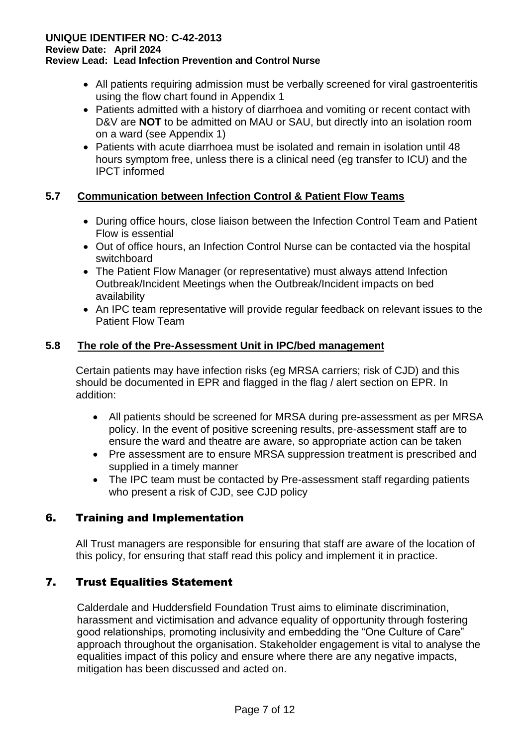#### **UNIQUE IDENTIFER NO: C-42-2013**

**Review Date: April 2024**

#### **Review Lead: Lead Infection Prevention and Control Nurse**

- All patients requiring admission must be verbally screened for viral gastroenteritis using the flow chart found in Appendix 1
- Patients admitted with a history of diarrhoea and vomiting or recent contact with D&V are **NOT** to be admitted on MAU or SAU, but directly into an isolation room on a ward (see Appendix 1)
- Patients with acute diarrhoea must be isolated and remain in isolation until 48 hours symptom free, unless there is a clinical need (eg transfer to ICU) and the IPCT informed

#### **5.7 Communication between Infection Control & Patient Flow Teams**

- During office hours, close liaison between the Infection Control Team and Patient Flow is essential
- Out of office hours, an Infection Control Nurse can be contacted via the hospital switchboard
- The Patient Flow Manager (or representative) must always attend Infection Outbreak/Incident Meetings when the Outbreak/Incident impacts on bed availability
- An IPC team representative will provide regular feedback on relevant issues to the Patient Flow Team

#### **5.8 The role of the Pre-Assessment Unit in IPC/bed management**

Certain patients may have infection risks (eg MRSA carriers; risk of CJD) and this should be documented in EPR and flagged in the flag / alert section on EPR. In addition:

- All patients should be screened for MRSA during pre-assessment as per MRSA policy. In the event of positive screening results, pre-assessment staff are to ensure the ward and theatre are aware, so appropriate action can be taken
- Pre assessment are to ensure MRSA suppression treatment is prescribed and supplied in a timely manner
- The IPC team must be contacted by Pre-assessment staff regarding patients who present a risk of CJD, see CJD policy

#### 6. Training and Implementation

All Trust managers are responsible for ensuring that staff are aware of the location of this policy, for ensuring that staff read this policy and implement it in practice.

#### 7. Trust Equalities Statement

Calderdale and Huddersfield Foundation Trust aims to eliminate discrimination, harassment and victimisation and advance equality of opportunity through fostering good relationships, promoting inclusivity and embedding the "One Culture of Care" approach throughout the organisation. Stakeholder engagement is vital to analyse the equalities impact of this policy and ensure where there are any negative impacts, mitigation has been discussed and acted on.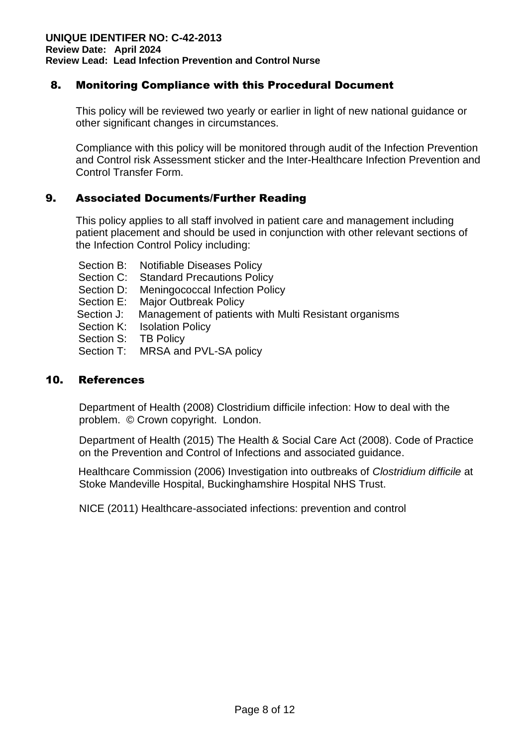#### 8. Monitoring Compliance with this Procedural Document

This policy will be reviewed two yearly or earlier in light of new national guidance or other significant changes in circumstances.

Compliance with this policy will be monitored through audit of the Infection Prevention and Control risk Assessment sticker and the Inter-Healthcare Infection Prevention and Control Transfer Form.

#### 9. Associated Documents/Further Reading

This policy applies to all staff involved in patient care and management including patient placement and should be used in conjunction with other relevant sections of the Infection Control Policy including:

- Section B: Notifiable Diseases Policy
- Section C: Standard Precautions Policy
- Section D: Meningococcal Infection Policy
- Section E: Major Outbreak Policy
- Section J: Management of patients with Multi Resistant organisms
- Section K: Isolation Policy
- Section S: TB Policy
- Section T: MRSA and PVL-SA policy

#### 10. References

Department of Health (2008) Clostridium difficile infection: How to deal with the problem. © Crown copyright. London.

Department of Health (2015) The Health & Social Care Act (2008). Code of Practice on the Prevention and Control of Infections and associated guidance.

Healthcare Commission (2006) Investigation into outbreaks of *Clostridium difficile* at Stoke Mandeville Hospital, Buckinghamshire Hospital NHS Trust.

NICE (2011) Healthcare-associated infections: prevention and control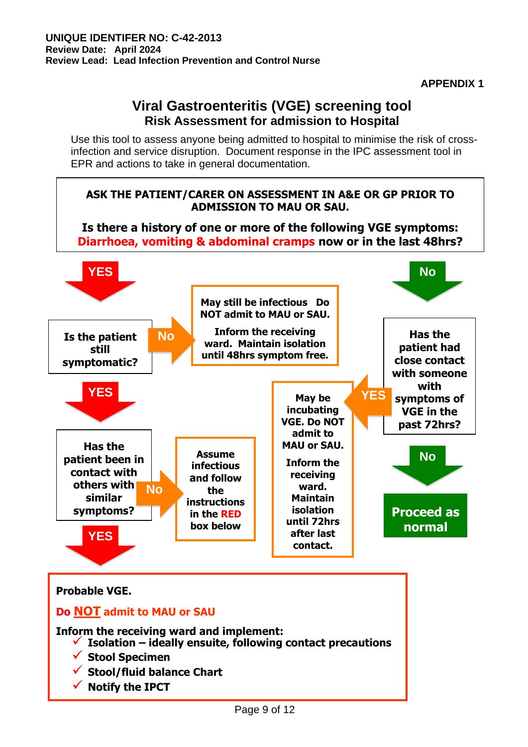## **Viral Gastroenteritis (VGE) screening tool Risk Assessment for admission to Hospital**

Use this tool to assess anyone being admitted to hospital to minimise the risk of crossinfection and service disruption. Document response in the IPC assessment tool in EPR and actions to take in general documentation.

#### **ASK THE PATIENT/CARER ON ASSESSMENT IN A&E OR GP PRIOR TO ADMISSION TO MAU OR SAU. Is there a history of one or more of the following VGE symptoms: Diarrhoea, vomiting & abdominal cramps now or in the last 48hrs? Is the patient still symptomatic? May still be infectious Do NOT admit to MAU or SAU. Inform the receiving ward. Maintain isolation until 48hrs symptom free. Has the patient had close contact with someone with symptoms of VGE in the past 72hrs? YES** No. 2006. The Motor Section of the Motor Section 1.1 (1996) and 1.1 (1997) and 1.1 (1997) and 1.1 (1997) and 1.1 (1997) and 1.1 (1997) and 1.1 (1997) and 1.1 (1997) and 1.1 (1997) and 1.1 (1997) and 1.1 (1997) and 1. **YES YES YES No May be incubating VGE. Do NOT admit to MAU or SAU. Inform the receiving ward. Maintain isolation until 72hrs after last contact. Assume infectious and follow the instructions in the RED box below Has the patient been in contact with others with similar symptoms? No Proceed as normal No**

# **Probable VGE. Do NOT admit to MAU or SAU Inform the receiving ward and implement:** ✓ **Isolation – ideally ensuite, following contact precautions** ✓ **Stool Specimen** ✓ **Stool/fluid balance Chart** ✓ **Notify the IPCT**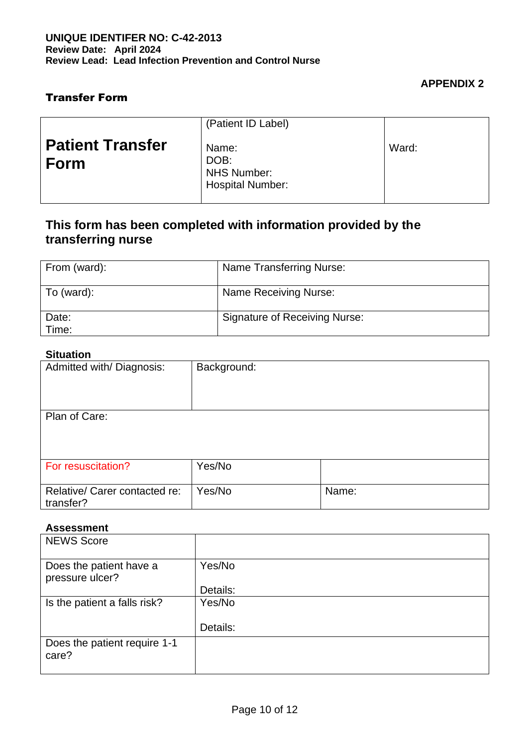#### **APPENDIX 2**

#### Transfer Form

|                                 | (Patient ID Label)                                             |       |
|---------------------------------|----------------------------------------------------------------|-------|
| <b>Patient Transfer</b><br>Form | Name:<br>DOB:<br><b>NHS Number:</b><br><b>Hospital Number:</b> | Ward: |

## **This form has been completed with information provided by the transferring nurse**

| From (ward):   | <b>Name Transferring Nurse:</b>      |
|----------------|--------------------------------------|
| To (ward):     | Name Receiving Nurse:                |
| Date:<br>Time: | <b>Signature of Receiving Nurse:</b> |

#### **Situation**

| Admitted with/Diagnosis: | Background: |  |  |
|--------------------------|-------------|--|--|
|                          |             |  |  |
|                          |             |  |  |
|                          |             |  |  |
| Plan of Care:            |             |  |  |
|                          |             |  |  |
|                          |             |  |  |
|                          |             |  |  |
| For resuscitation?       | Yes/No      |  |  |

| <b>For resuscitation?</b>                    | Yes/No |       |
|----------------------------------------------|--------|-------|
| Relative/ Carer contacted re:<br>  transfer? | Yes/No | Name: |

#### **Assessment**

| <b>NEWS Score</b>                          |          |
|--------------------------------------------|----------|
| Does the patient have a<br>pressure ulcer? | Yes/No   |
|                                            | Details: |
| Is the patient a falls risk?               | Yes/No   |
|                                            | Details: |
| Does the patient require 1-1<br>care?      |          |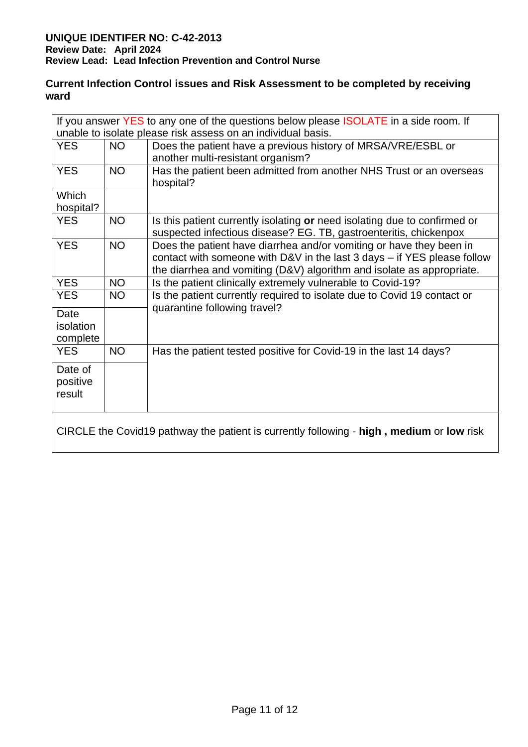#### **Current Infection Control issues and Risk Assessment to be completed by receiving ward**

|                               |                                                              | If you answer YES to any one of the questions below please <b>ISOLATE</b> in a side room. If                                                                                                                                |  |  |  |  |  |
|-------------------------------|--------------------------------------------------------------|-----------------------------------------------------------------------------------------------------------------------------------------------------------------------------------------------------------------------------|--|--|--|--|--|
|                               | unable to isolate please risk assess on an individual basis. |                                                                                                                                                                                                                             |  |  |  |  |  |
| <b>YES</b>                    | <b>NO</b>                                                    | Does the patient have a previous history of MRSA/VRE/ESBL or<br>another multi-resistant organism?                                                                                                                           |  |  |  |  |  |
| <b>YES</b>                    | <b>NO</b>                                                    | Has the patient been admitted from another NHS Trust or an overseas<br>hospital?                                                                                                                                            |  |  |  |  |  |
| Which                         |                                                              |                                                                                                                                                                                                                             |  |  |  |  |  |
| hospital?                     |                                                              |                                                                                                                                                                                                                             |  |  |  |  |  |
| <b>YES</b>                    | <b>NO</b>                                                    | Is this patient currently isolating or need isolating due to confirmed or<br>suspected infectious disease? EG. TB, gastroenteritis, chickenpox                                                                              |  |  |  |  |  |
| <b>YES</b>                    | <b>NO</b>                                                    | Does the patient have diarrhea and/or vomiting or have they been in<br>contact with someone with D&V in the last $3$ days $-$ if YES please follow<br>the diarrhea and vomiting (D&V) algorithm and isolate as appropriate. |  |  |  |  |  |
| <b>YES</b>                    | <b>NO</b>                                                    | Is the patient clinically extremely vulnerable to Covid-19?                                                                                                                                                                 |  |  |  |  |  |
| <b>YES</b>                    | <b>NO</b>                                                    | Is the patient currently required to isolate due to Covid 19 contact or<br>quarantine following travel?                                                                                                                     |  |  |  |  |  |
| Date<br>isolation<br>complete |                                                              |                                                                                                                                                                                                                             |  |  |  |  |  |
| <b>YES</b>                    | <b>NO</b>                                                    | Has the patient tested positive for Covid-19 in the last 14 days?                                                                                                                                                           |  |  |  |  |  |
| Date of<br>positive<br>result |                                                              |                                                                                                                                                                                                                             |  |  |  |  |  |
|                               |                                                              | CIRCLE the Covid19 pathway the patient is currently following - high, medium or low risk                                                                                                                                    |  |  |  |  |  |